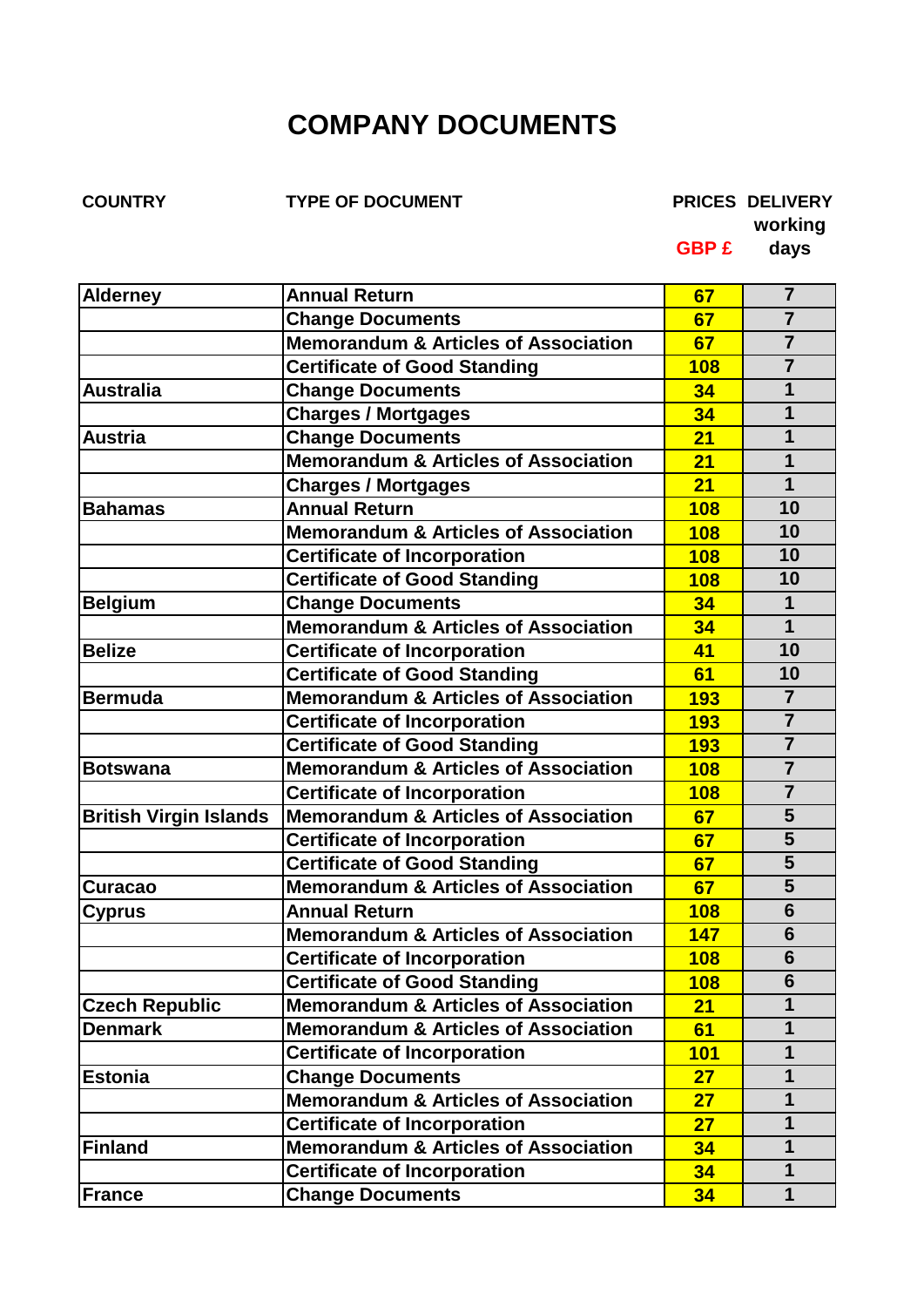## **COMPANY DOCUMENTS**

**COUNTRY TYPE OF DOCUMENT PRICES DELIVERY**

**working**

**GBP £ days**

| <b>Alderney</b>               | <b>Annual Return</b>                            | 67         | $\overline{7}$          |
|-------------------------------|-------------------------------------------------|------------|-------------------------|
|                               | <b>Change Documents</b>                         | 67         | $\overline{7}$          |
|                               | <b>Memorandum &amp; Articles of Association</b> | 67         | $\overline{7}$          |
|                               | <b>Certificate of Good Standing</b>             | 108        | $\overline{7}$          |
| <b>Australia</b>              | <b>Change Documents</b>                         | 34         | 1                       |
|                               | <b>Charges / Mortgages</b>                      | 34         | $\mathbf 1$             |
| <b>Austria</b>                | <b>Change Documents</b>                         | 21         | $\mathbf 1$             |
|                               | Memorandum & Articles of Association            | 21         | 1                       |
|                               | <b>Charges / Mortgages</b>                      | 21         | $\mathbf 1$             |
| <b>Bahamas</b>                | <b>Annual Return</b>                            | 108        | 10                      |
|                               | <b>Memorandum &amp; Articles of Association</b> | 108        | 10                      |
|                               | <b>Certificate of Incorporation</b>             | 108        | 10                      |
|                               | <b>Certificate of Good Standing</b>             | 108        | 10                      |
| <b>Belgium</b>                | <b>Change Documents</b>                         | 34         | $\mathbf 1$             |
|                               | <b>Memorandum &amp; Articles of Association</b> | 34         | $\overline{\mathbf{1}}$ |
| <b>Belize</b>                 | <b>Certificate of Incorporation</b>             | 41         | 10                      |
|                               | <b>Certificate of Good Standing</b>             | 61         | 10                      |
| <b>Bermuda</b>                | <b>Memorandum &amp; Articles of Association</b> | <b>193</b> | $\overline{7}$          |
|                               | <b>Certificate of Incorporation</b>             | 193        | $\overline{7}$          |
|                               | <b>Certificate of Good Standing</b>             | <b>193</b> | $\overline{7}$          |
| Botswana                      | <b>Memorandum &amp; Articles of Association</b> | 108        | $\overline{7}$          |
|                               | <b>Certificate of Incorporation</b>             | 108        | $\overline{7}$          |
| <b>British Virgin Islands</b> | <b>Memorandum &amp; Articles of Association</b> | 67         | 5                       |
|                               | <b>Certificate of Incorporation</b>             | 67         | 5                       |
|                               | <b>Certificate of Good Standing</b>             | 67         | $\overline{\mathbf{5}}$ |
| Curacao                       | <b>Memorandum &amp; Articles of Association</b> | 67         | 5                       |
| Cyprus                        | <b>Annual Return</b>                            | 108        | 6                       |
|                               | <b>Memorandum &amp; Articles of Association</b> | 147        | $6\phantom{1}$          |
|                               | <b>Certificate of Incorporation</b>             | <b>108</b> | $6\phantom{1}$          |
|                               | <b>Certificate of Good Standing</b>             | <b>108</b> | $6\phantom{1}$          |
| <b>Czech Republic</b>         | <b>Memorandum &amp; Articles of Association</b> | 21         | $\mathbf 1$             |
| <b>Denmark</b>                | <b>Memorandum &amp; Articles of Association</b> | 61         | $\mathbf 1$             |
|                               | <b>Certificate of Incorporation</b>             | <b>101</b> | $\mathbf 1$             |
| <b>Estonia</b>                | <b>Change Documents</b>                         | 27         | $\mathbf 1$             |
|                               | Memorandum & Articles of Association            | 27         | $\mathbf 1$             |
|                               | <b>Certificate of Incorporation</b>             | 27         | $\mathbf 1$             |
| <b>Finland</b>                | <b>Memorandum &amp; Articles of Association</b> | 34         | $\mathbf 1$             |
|                               | <b>Certificate of Incorporation</b>             | 34         | $\mathbf 1$             |
| <b>France</b>                 | <b>Change Documents</b>                         | 34         | 1                       |
|                               |                                                 |            |                         |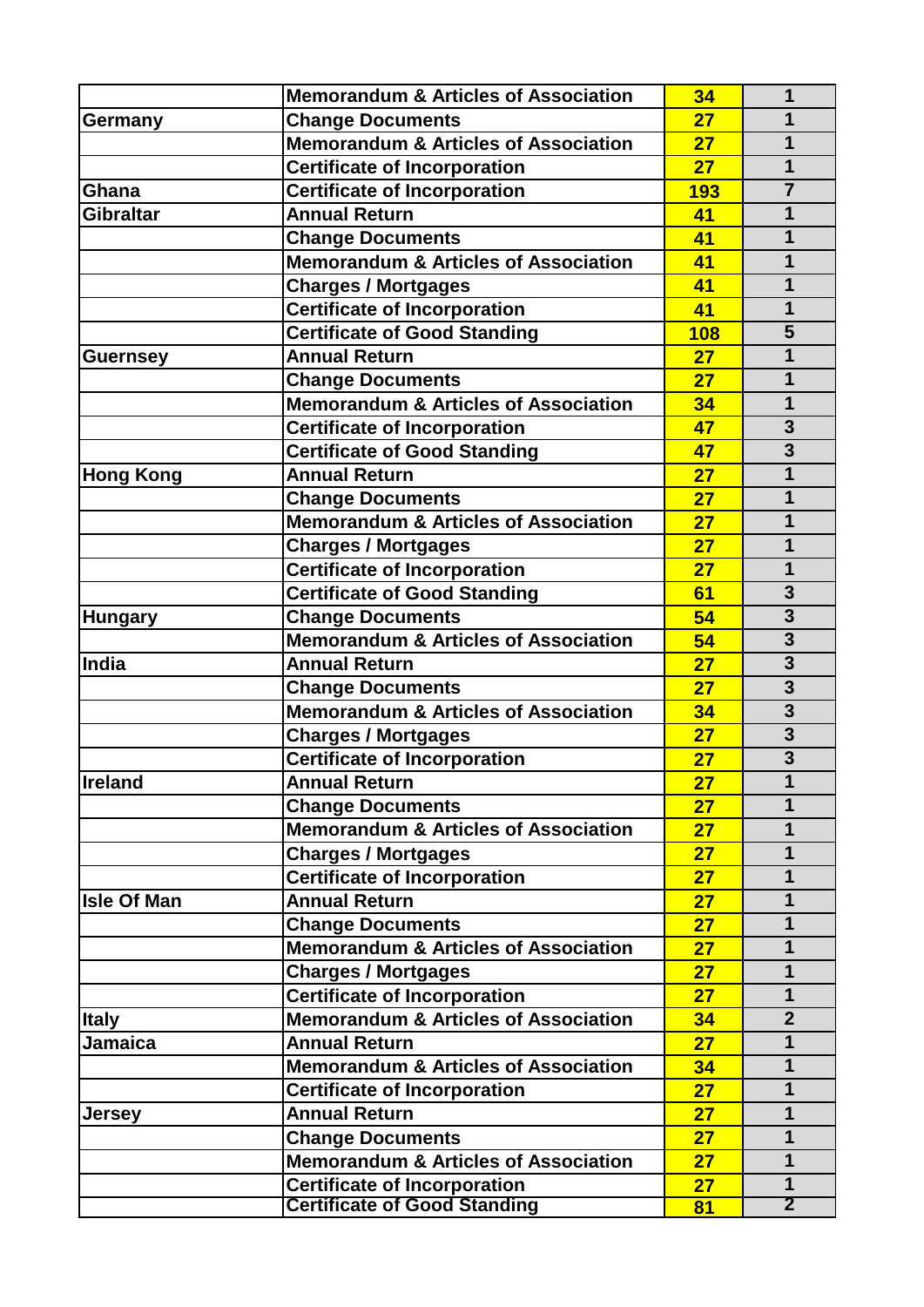|                    | <b>Memorandum &amp; Articles of Association</b> | 34  | 1                       |
|--------------------|-------------------------------------------------|-----|-------------------------|
| Germany            | <b>Change Documents</b>                         | 27  | 1                       |
|                    | <b>Memorandum &amp; Articles of Association</b> | 27  | 1                       |
|                    | <b>Certificate of Incorporation</b>             | 27  | $\overline{1}$          |
| Ghana              | <b>Certificate of Incorporation</b>             | 193 | $\overline{7}$          |
| <b>Gibraltar</b>   | <b>Annual Return</b>                            | 41  | 1                       |
|                    | <b>Change Documents</b>                         | 41  | $\mathbf 1$             |
|                    | <b>Memorandum &amp; Articles of Association</b> | 41  | 1                       |
|                    | <b>Charges / Mortgages</b>                      | 41  | 1                       |
|                    | <b>Certificate of Incorporation</b>             | 41  | $\mathbf 1$             |
|                    | <b>Certificate of Good Standing</b>             | 108 | 5                       |
| <b>Guernsey</b>    | <b>Annual Return</b>                            | 27  | 1                       |
|                    | <b>Change Documents</b>                         | 27  | $\mathbf 1$             |
|                    | <b>Memorandum &amp; Articles of Association</b> | 34  | 1                       |
|                    | <b>Certificate of Incorporation</b>             | 47  | $\overline{\mathbf{3}}$ |
|                    | <b>Certificate of Good Standing</b>             | 47  | $\overline{3}$          |
| <b>Hong Kong</b>   | <b>Annual Return</b>                            | 27  | 1                       |
|                    | <b>Change Documents</b>                         | 27  | $\mathbf{1}$            |
|                    | <b>Memorandum &amp; Articles of Association</b> | 27  | 1                       |
|                    | <b>Charges / Mortgages</b>                      | 27  | 1                       |
|                    | <b>Certificate of Incorporation</b>             | 27  | 1                       |
|                    | <b>Certificate of Good Standing</b>             | 61  | $\overline{\mathbf{3}}$ |
| <b>Hungary</b>     | <b>Change Documents</b>                         | 54  | $\overline{\mathbf{3}}$ |
|                    | Memorandum & Articles of Association            | 54  | $\overline{\mathbf{3}}$ |
| India              | <b>Annual Return</b>                            | 27  | $\overline{\mathbf{3}}$ |
|                    | <b>Change Documents</b>                         | 27  | $\overline{\mathbf{3}}$ |
|                    | <b>Memorandum &amp; Articles of Association</b> | 34  | $\overline{\mathbf{3}}$ |
|                    | <b>Charges / Mortgages</b>                      | 27  | $\overline{\mathbf{3}}$ |
|                    | <b>Certificate of Incorporation</b>             | 27  | $\overline{3}$          |
| <b>Ireland</b>     | <b>Annual Return</b>                            | 27  | 1                       |
|                    | <b>Change Documents</b>                         | 27  | 1                       |
|                    | <b>Memorandum &amp; Articles of Association</b> | 27  | $\mathbf 1$             |
|                    | <b>Charges / Mortgages</b>                      | 27  | $\mathbf 1$             |
|                    | <b>Certificate of Incorporation</b>             | 27  | $\mathbf 1$             |
| <b>Isle Of Man</b> | <b>Annual Return</b>                            | 27  | $\mathbf 1$             |
|                    | <b>Change Documents</b>                         | 27  | $\mathbf 1$             |
|                    | <b>Memorandum &amp; Articles of Association</b> | 27  | $\mathbf{1}$            |
|                    | <b>Charges / Mortgages</b>                      | 27  | $\mathbf 1$             |
|                    | <b>Certificate of Incorporation</b>             | 27  | $\mathbf 1$             |
| <b>Italy</b>       | <b>Memorandum &amp; Articles of Association</b> | 34  | $\overline{2}$          |
| <b>Jamaica</b>     | <b>Annual Return</b>                            | 27  | $\mathbf 1$             |
|                    | <b>Memorandum &amp; Articles of Association</b> | 34  | 1                       |
|                    | <b>Certificate of Incorporation</b>             | 27  | 1                       |
| <b>Jersey</b>      | <b>Annual Return</b>                            | 27  | $\mathbf 1$             |
|                    | <b>Change Documents</b>                         | 27  | $\mathbf 1$             |
|                    | <b>Memorandum &amp; Articles of Association</b> | 27  | $\mathbf 1$             |
|                    | <b>Certificate of Incorporation</b>             | 27  | $\mathbf 1$             |
|                    | <b>Certificate of Good Standing</b>             | 81  | $\overline{2}$          |
|                    |                                                 |     |                         |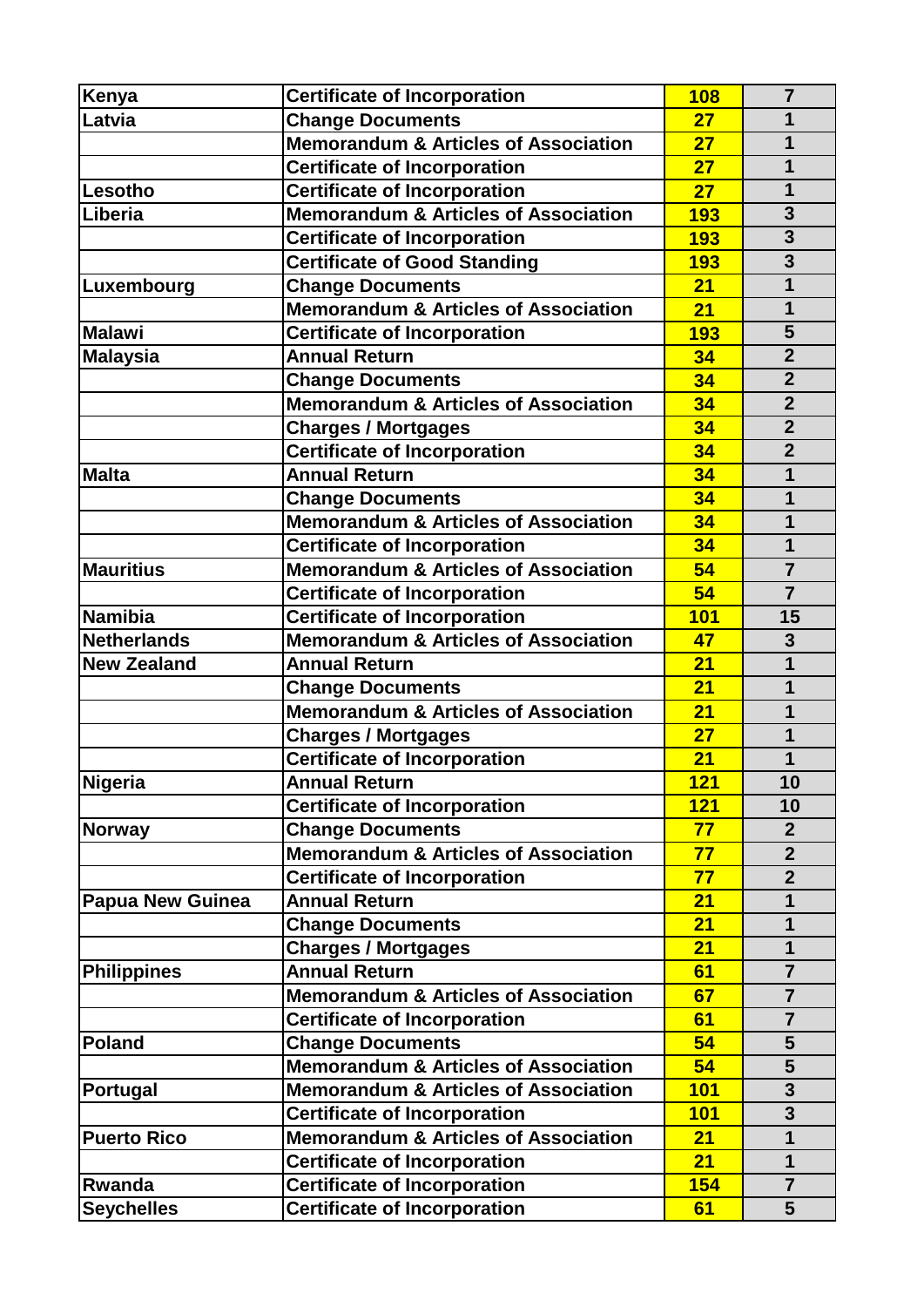| Kenya                   | <b>Certificate of Incorporation</b>                               | 108        | $\overline{7}$          |
|-------------------------|-------------------------------------------------------------------|------------|-------------------------|
| Latvia                  | <b>Change Documents</b>                                           | 27         | 1                       |
|                         | <b>Memorandum &amp; Articles of Association</b>                   | 27         | 1                       |
|                         | <b>Certificate of Incorporation</b>                               | 27         | 1                       |
| Lesotho                 | <b>Certificate of Incorporation</b>                               | 27         | $\mathbf{1}$            |
| Liberia                 | <b>Memorandum &amp; Articles of Association</b>                   | 193        | 3                       |
|                         | <b>Certificate of Incorporation</b>                               | 193        | $\overline{\mathbf{3}}$ |
|                         | <b>Certificate of Good Standing</b>                               | <b>193</b> | $\overline{\mathbf{3}}$ |
|                         | <b>Change Documents</b>                                           | 21         | $\mathbf 1$             |
| Luxembourg              | <b>Memorandum &amp; Articles of Association</b>                   | 21         | $\mathbf{1}$            |
| <b>Malawi</b>           | <b>Certificate of Incorporation</b>                               | <b>193</b> | 5                       |
| <b>Malaysia</b>         | <b>Annual Return</b>                                              | 34         | $\overline{2}$          |
|                         | <b>Change Documents</b>                                           | 34         | $\overline{2}$          |
|                         | <b>Memorandum &amp; Articles of Association</b>                   | 34         | $\overline{2}$          |
|                         |                                                                   | 34         | $\overline{2}$          |
|                         | <b>Charges / Mortgages</b><br><b>Certificate of Incorporation</b> | 34         | $\overline{2}$          |
| <b>Malta</b>            | <b>Annual Return</b>                                              | 34         | 1                       |
|                         | <b>Change Documents</b>                                           | 34         | 1                       |
|                         | <b>Memorandum &amp; Articles of Association</b>                   | 34         | 1                       |
|                         | <b>Certificate of Incorporation</b>                               | 34         | 1                       |
|                         | <b>Memorandum &amp; Articles of Association</b>                   | 54         | $\overline{7}$          |
| <b>Mauritius</b>        | <b>Certificate of Incorporation</b>                               | 54         | $\overline{7}$          |
| <b>Namibia</b>          | <b>Certificate of Incorporation</b>                               | <b>101</b> | 15                      |
| <b>Netherlands</b>      | <b>Memorandum &amp; Articles of Association</b>                   | 47         | $\overline{\mathbf{3}}$ |
| <b>New Zealand</b>      | <b>Annual Return</b>                                              | 21         | 1                       |
|                         | <b>Change Documents</b>                                           | 21         | 1                       |
|                         | <b>Memorandum &amp; Articles of Association</b>                   | 21         | 1                       |
|                         | <b>Charges / Mortgages</b>                                        | 27         | 1                       |
|                         | <b>Certificate of Incorporation</b>                               | 21         | 1                       |
| Nigeria                 | <b>Annual Return</b>                                              | <b>121</b> | 10                      |
|                         | <b>Certificate of Incorporation</b>                               | 121        | 10                      |
|                         | <b>Change Documents</b>                                           | 77         | $\overline{2}$          |
| <b>Norway</b>           | <b>Memorandum &amp; Articles of Association</b>                   | 77         | $\overline{2}$          |
|                         | <b>Certificate of Incorporation</b>                               | 77         | $\overline{2}$          |
| <b>Papua New Guinea</b> | <b>Annual Return</b>                                              | 21         | 1                       |
|                         | <b>Change Documents</b>                                           | 21         | 1                       |
|                         | <b>Charges / Mortgages</b>                                        | 21         | 1                       |
| <b>Philippines</b>      | <b>Annual Return</b>                                              | 61         | $\overline{7}$          |
|                         | <b>Memorandum &amp; Articles of Association</b>                   | 67         | $\overline{7}$          |
|                         | <b>Certificate of Incorporation</b>                               | 61         | $\overline{7}$          |
| <b>Poland</b>           | <b>Change Documents</b>                                           | 54         | 5                       |
|                         | <b>Memorandum &amp; Articles of Association</b>                   | 54         | $\overline{\mathbf{5}}$ |
| Portugal                | <b>Memorandum &amp; Articles of Association</b>                   | <b>101</b> | 3                       |
|                         | <b>Certificate of Incorporation</b>                               | <b>101</b> | 3                       |
| <b>Puerto Rico</b>      | <b>Memorandum &amp; Articles of Association</b>                   | 21         | 1                       |
|                         | <b>Certificate of Incorporation</b>                               | 21         | 1                       |
| <b>Rwanda</b>           | <b>Certificate of Incorporation</b>                               | 154        | $\overline{7}$          |
| <b>Seychelles</b>       | <b>Certificate of Incorporation</b>                               | 61         | 5                       |
|                         |                                                                   |            |                         |